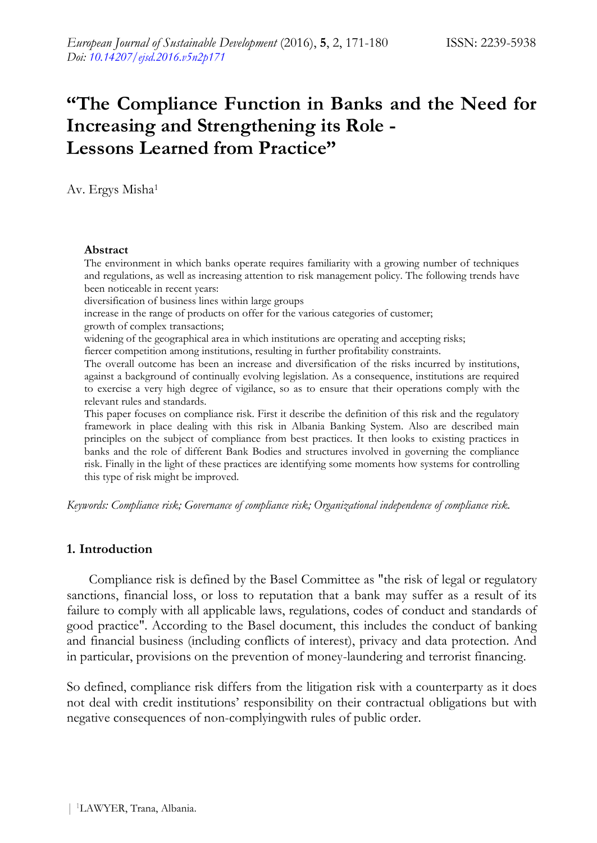# **"The Compliance Function in Banks and the Need for Increasing and Strengthening its Role - Lessons Learned from Practice"**

Av. Ergys Misha<sup>1</sup>

#### **Abstract**

The environment in which banks operate requires familiarity with a growing number of techniques and regulations, as well as increasing attention to risk management policy. The following trends have been noticeable in recent years:

diversification of business lines within large groups

increase in the range of products on offer for the various categories of customer;

growth of complex transactions;

widening of the geographical area in which institutions are operating and accepting risks;

fiercer competition among institutions, resulting in further profitability constraints.

The overall outcome has been an increase and diversification of the risks incurred by institutions, against a background of continually evolving legislation. As a consequence, institutions are required to exercise a very high degree of vigilance, so as to ensure that their operations comply with the relevant rules and standards.

This paper focuses on compliance risk. First it describe the definition of this risk and the regulatory framework in place dealing with this risk in Albania Banking System. Also are described main principles on the subject of compliance from best practices. It then looks to existing practices in banks and the role of different Bank Bodies and structures involved in governing the compliance risk. Finally in the light of these practices are identifying some moments how systems for controlling this type of risk might be improved.

*Keywords: Compliance risk; Governance of compliance risk; Organizational independence of compliance risk.*

#### **1. Introduction**

Compliance risk is defined by the Basel Committee as "the risk of legal or regulatory sanctions, financial loss, or loss to reputation that a bank may suffer as a result of its failure to comply with all applicable laws, regulations, codes of conduct and standards of good practice". According to the Basel document, this includes the conduct of banking and financial business (including conflicts of interest), privacy and data protection. And in particular, provisions on the prevention of money-laundering and terrorist financing.

So defined, compliance risk differs from the litigation risk with a counterparty as it does not deal with credit institutions' responsibility on their contractual obligations but with negative consequences of non-complyingwith rules of public order.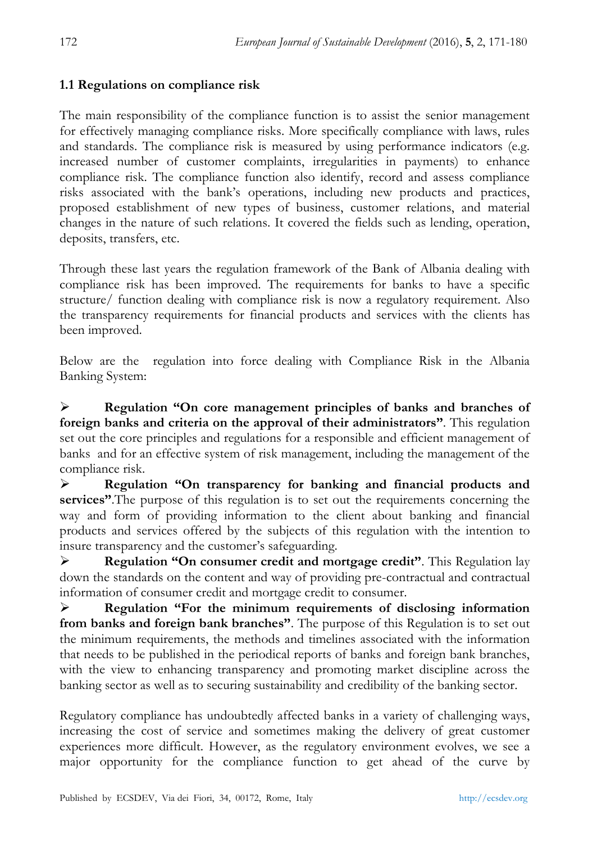### **1.1 Regulations on compliance risk**

The main responsibility of the compliance function is to assist the senior management for effectively managing compliance risks. More specifically compliance with laws, rules and standards. The compliance risk is measured by using performance indicators (e.g. increased number of customer complaints, irregularities in payments) to enhance compliance risk. The compliance function also identify, record and assess compliance risks associated with the bank's operations, including new products and practices, proposed establishment of new types of business, customer relations, and material changes in the nature of such relations. It covered the fields such as lending, operation, deposits, transfers, etc.

Through these last years the regulation framework of the Bank of Albania dealing with compliance risk has been improved. The requirements for banks to have a specific structure/ function dealing with compliance risk is now a regulatory requirement. Also the transparency requirements for financial products and services with the clients has been improved.

Below are the regulation into force dealing with Compliance Risk in the Albania Banking System:

 **Regulation "On core management principles of banks and branches of foreign banks and criteria on the approval of their administrators"**. This regulation set out the core principles and regulations for a responsible and efficient management of banks and for an effective system of risk management, including the management of the compliance risk.

 **Regulation "On transparency for banking and financial products and services"**.The purpose of this regulation is to set out the requirements concerning the way and form of providing information to the client about banking and financial products and services offered by the subjects of this regulation with the intention to insure transparency and the customer's safeguarding.

 **Regulation "On consumer credit and mortgage credit"**. This Regulation lay down the standards on the content and way of providing pre-contractual and contractual information of consumer credit and mortgage credit to consumer.

 **Regulation "For the minimum requirements of disclosing information from banks and foreign bank branches"**. The purpose of this Regulation is to set out the minimum requirements, the methods and timelines associated with the information that needs to be published in the periodical reports of banks and foreign bank branches, with the view to enhancing transparency and promoting market discipline across the banking sector as well as to securing sustainability and credibility of the banking sector.

Regulatory compliance has undoubtedly affected banks in a variety of challenging ways, increasing the cost of service and sometimes making the delivery of great customer experiences more difficult. However, as the regulatory environment evolves, we see a major opportunity for the compliance function to get ahead of the curve by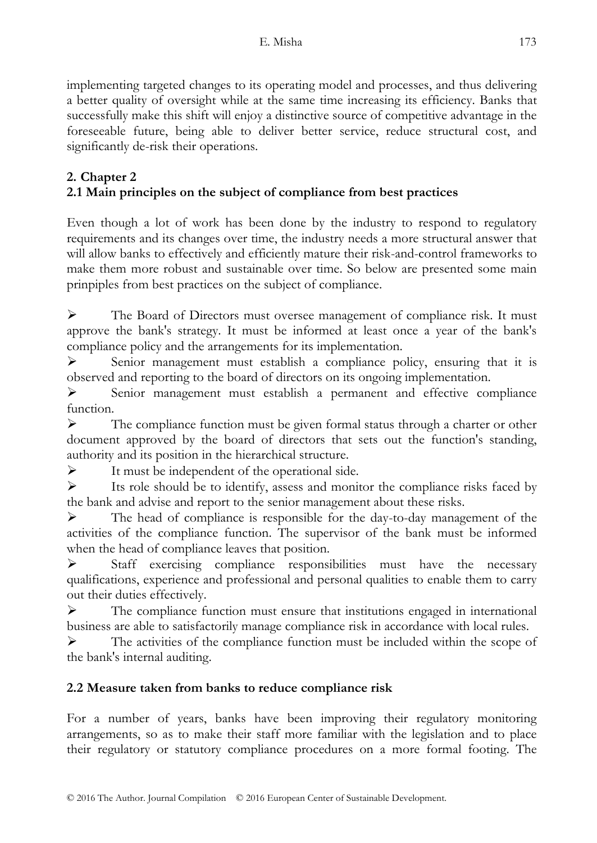implementing targeted changes to its operating model and processes, and thus delivering a better quality of oversight while at the same time increasing its efficiency. Banks that successfully make this shift will enjoy a distinctive source of competitive advantage in the foreseeable future, being able to deliver better service, reduce structural cost, and significantly de-risk their operations.

# **2. Chapter 2 2.1 Main principles on the subject of compliance from best practices**

Even though a lot of work has been done by the industry to respond to regulatory requirements and its changes over time, the industry needs a more structural answer that will allow banks to effectively and efficiently mature their risk-and-control frameworks to make them more robust and sustainable over time. So below are presented some main prinpiples from best practices on the subject of compliance.

 The Board of Directors must oversee management of compliance risk. It must approve the bank's strategy. It must be informed at least once a year of the bank's compliance policy and the arrangements for its implementation.

 $\triangleright$  Senior management must establish a compliance policy, ensuring that it is observed and reporting to the board of directors on its ongoing implementation.

 Senior management must establish a permanent and effective compliance function.

 $\triangleright$  The compliance function must be given formal status through a charter or other document approved by the board of directors that sets out the function's standing, authority and its position in the hierarchical structure.

 $\blacktriangleright$  It must be independent of the operational side.

 $\triangleright$  Its role should be to identify, assess and monitor the compliance risks faced by the bank and advise and report to the senior management about these risks.

 The head of compliance is responsible for the day-to-day management of the activities of the compliance function. The supervisor of the bank must be informed when the head of compliance leaves that position.

 $\triangleright$  Staff exercising compliance responsibilities must have the necessary qualifications, experience and professional and personal qualities to enable them to carry out their duties effectively.

 $\triangleright$  The compliance function must ensure that institutions engaged in international business are able to satisfactorily manage compliance risk in accordance with local rules.

 The activities of the compliance function must be included within the scope of the bank's internal auditing.

# **2.2 Measure taken from banks to reduce compliance risk**

For a number of years, banks have been improving their regulatory monitoring arrangements, so as to make their staff more familiar with the legislation and to place their regulatory or statutory compliance procedures on a more formal footing. The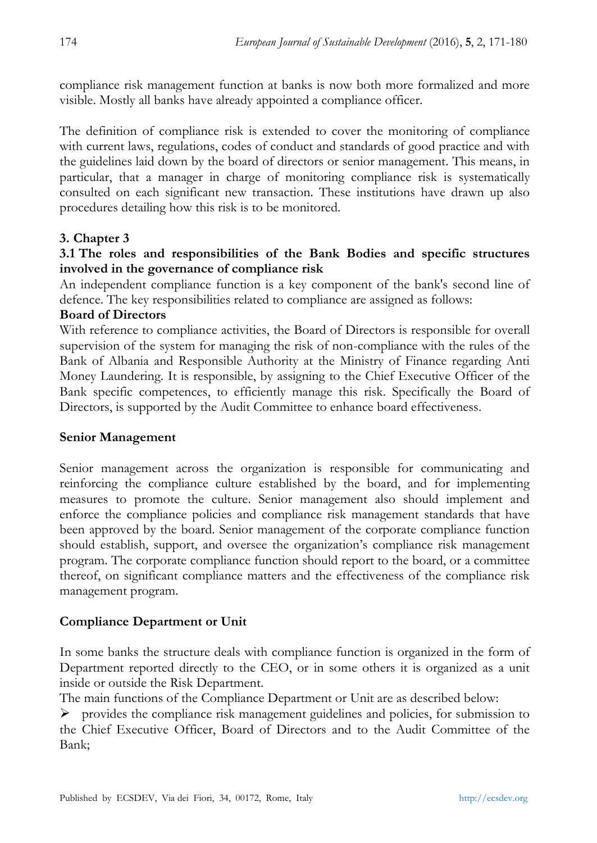compliance risk management function at banks is now both more formalized and more visible. Mostly all banks have already appointed a compliance officer.

The definition of compliance risk is extended to cover the monitoring of compliance with current laws, regulations, codes of conduct and standards of good practice and with the guidelines laid down by the board of directors or senior management. This means, in particular, that a manager in charge of monitoring compliance risk is systematically consulted on each significant new transaction. These institutions have drawn up also procedures detailing how this risk is to be monitored.

### **3. Chapter 3**

### **3.1 The roles and responsibilities of the Bank Bodies and specific structures involved in the governance of compliance risk**

An independent compliance function is a key component of the bank's second line of defence. The key responsibilities related to compliance are assigned as follows:

### **Board of Directors**

With reference to compliance activities, the Board of Directors is responsible for overall supervision of the system for managing the risk of non-compliance with the rules of the Bank of Albania and Responsible Authority at the Ministry of Finance regarding Anti Money Laundering. It is responsible, by assigning to the Chief Executive Officer of the Bank specific competences, to efficiently manage this risk. Specifically the Board of Directors, is supported by the Audit Committee to enhance board effectiveness.

### **Senior Management**

Senior management across the organization is responsible for communicating and reinforcing the compliance culture established by the board, and for implementing measures to promote the culture. Senior management also should implement and enforce the compliance policies and compliance risk management standards that have been approved by the board. Senior management of the corporate compliance function should establish, support, and oversee the organization's compliance risk management program. The corporate compliance function should report to the board, or a committee thereof, on significant compliance matters and the effectiveness of the compliance risk management program.

### **Compliance Department or Unit**

In some banks the structure deals with compliance function is organized in the form of Department reported directly to the CEO, or in some others it is organized as a unit inside or outside the Risk Department.

The main functions of the Compliance Department or Unit are as described below:

 $\triangleright$  provides the compliance risk management guidelines and policies, for submission to the Chief Executive Officer, Board of Directors and to the Audit Committee of the Bank;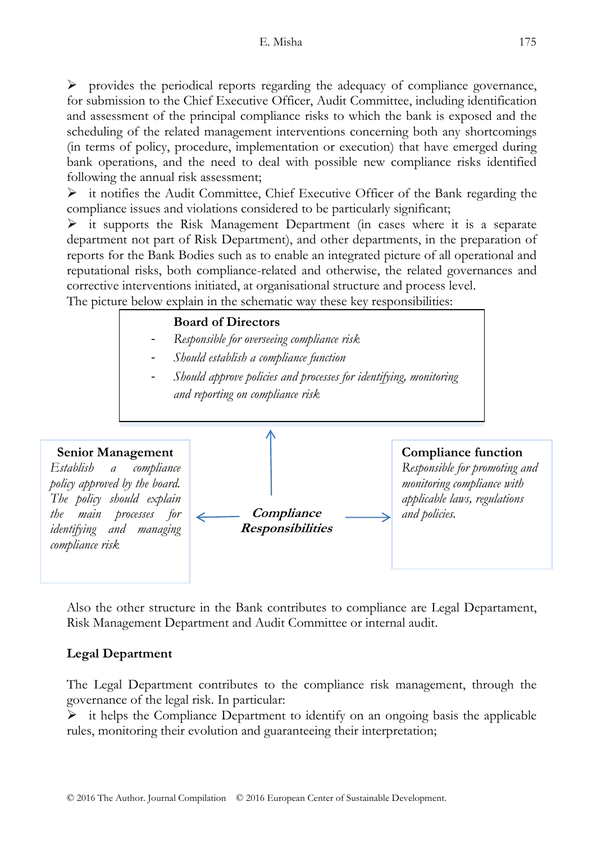$\triangleright$  provides the periodical reports regarding the adequacy of compliance governance, for submission to the Chief Executive Officer, Audit Committee, including identification and assessment of the principal compliance risks to which the bank is exposed and the scheduling of the related management interventions concerning both any shortcomings (in terms of policy, procedure, implementation or execution) that have emerged during bank operations, and the need to deal with possible new compliance risks identified following the annual risk assessment;

 $\triangleright$  it notifies the Audit Committee, Chief Executive Officer of the Bank regarding the compliance issues and violations considered to be particularly significant;

 $\triangleright$  it supports the Risk Management Department (in cases where it is a separate department not part of Risk Department), and other departments, in the preparation of reports for the Bank Bodies such as to enable an integrated picture of all operational and reputational risks, both compliance-related and otherwise, the related governances and corrective interventions initiated, at organisational structure and process level.

The picture below explain in the schematic way these key responsibilities:

#### **Board of Directors**

- *Responsible for overseeing compliance risk*
- *Should establish a compliance function*
- *Should approve policies and processes for identifying, monitoring and reporting on compliance risk*



Also the other structure in the Bank contributes to compliance are Legal Departament, Risk Management Department and Audit Committee or internal audit.

### **Legal Department**

The Legal Department contributes to the compliance risk management, through the governance of the legal risk. In particular:

 $\triangleright$  it helps the Compliance Department to identify on an ongoing basis the applicable rules, monitoring their evolution and guaranteeing their interpretation;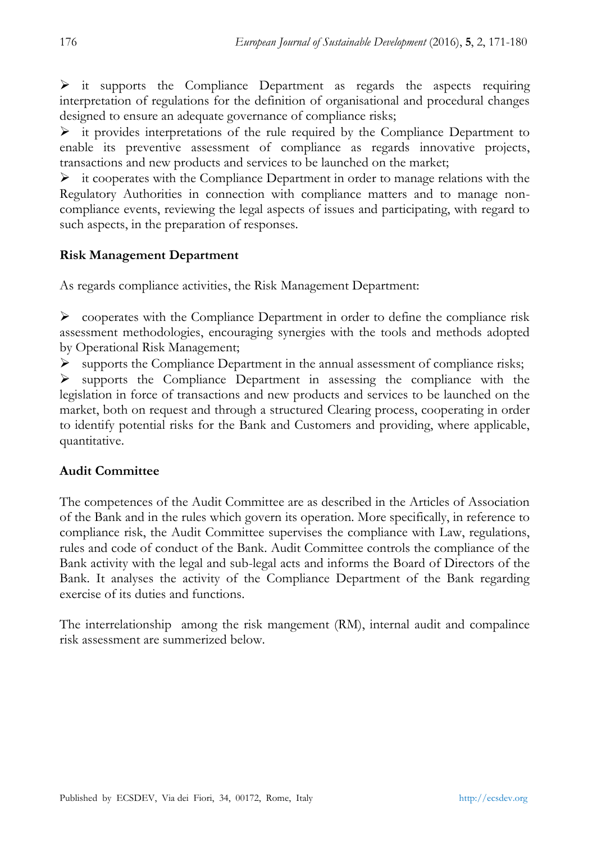$\triangleright$  it supports the Compliance Department as regards the aspects requiring interpretation of regulations for the definition of organisational and procedural changes designed to ensure an adequate governance of compliance risks;

 $\triangleright$  it provides interpretations of the rule required by the Compliance Department to enable its preventive assessment of compliance as regards innovative projects, transactions and new products and services to be launched on the market;

 $\triangleright$  it cooperates with the Compliance Department in order to manage relations with the Regulatory Authorities in connection with compliance matters and to manage noncompliance events, reviewing the legal aspects of issues and participating, with regard to such aspects, in the preparation of responses.

### **Risk Management Department**

As regards compliance activities, the Risk Management Department:

 $\triangleright$  cooperates with the Compliance Department in order to define the compliance risk assessment methodologies, encouraging synergies with the tools and methods adopted by Operational Risk Management;

 $\triangleright$  supports the Compliance Department in the annual assessment of compliance risks;

 $\triangleright$  supports the Compliance Department in assessing the compliance with the legislation in force of transactions and new products and services to be launched on the market, both on request and through a structured Clearing process, cooperating in order to identify potential risks for the Bank and Customers and providing, where applicable, quantitative.

### **Audit Committee**

The competences of the Audit Committee are as described in the Articles of Association of the Bank and in the rules which govern its operation. More specifically, in reference to compliance risk, the Audit Committee supervises the compliance with Law, regulations, rules and code of conduct of the Bank. Audit Committee controls the compliance of the Bank activity with the legal and sub-legal acts and informs the Board of Directors of the Bank. It analyses the activity of the Compliance Department of the Bank regarding exercise of its duties and functions.

The interrelationship among the risk mangement (RM), internal audit and compalince risk assessment are summerized below.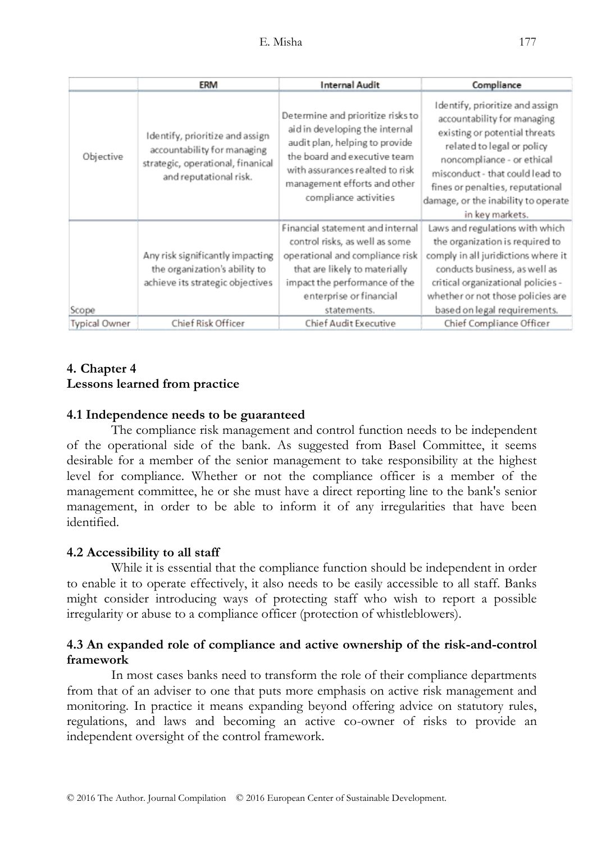|               | ERM                                                                                                                           | <b>Internal Audit</b>                                                                                                                                                                                                             | Compliance                                                                                                                                                                                                                                                                                   |
|---------------|-------------------------------------------------------------------------------------------------------------------------------|-----------------------------------------------------------------------------------------------------------------------------------------------------------------------------------------------------------------------------------|----------------------------------------------------------------------------------------------------------------------------------------------------------------------------------------------------------------------------------------------------------------------------------------------|
| Objective     | Identify, prioritize and assign<br>accountability for managing<br>strategic, operational, finanical<br>and reputational risk. | Determine and prioritize risks to<br>aid in developing the internal<br>audit plan, helping to provide<br>the board and executive team<br>with assurances realted to risk<br>management efforts and other<br>compliance activities | Identify, prioritize and assign<br>accountability for managing<br>existing or potential threats<br>related to legal or policy<br>noncompliance - or ethical<br>misconduct - that could lead to<br>fines or penalties, reputational<br>damage, or the inability to operate<br>in key markets. |
| Scope         | Any risk significantly impacting<br>the organization's ability to<br>achieve its strategic objectives                         | Financial statement and internal<br>control risks, as well as some<br>operational and compliance risk<br>that are likely to materially<br>impact the performance of the<br>enterprise or financial<br>statements.                 | Laws and regulations with which<br>the organization is required to<br>comply in all juridictions where it<br>conducts business, as well as<br>critical organizational policies -<br>whether or not those policies are<br>based on legal requirements.                                        |
| Typical Owner | Chief Risk Officer                                                                                                            | Chief Audit Executive                                                                                                                                                                                                             | Chief Compliance Officer                                                                                                                                                                                                                                                                     |

### **4. Chapter 4 Lessons learned from practice**

### **4.1 Independence needs to be guaranteed**

The compliance risk management and control function needs to be independent of the operational side of the bank. As suggested from Basel Committee, it seems desirable for a member of the senior management to take responsibility at the highest level for compliance. Whether or not the compliance officer is a member of the management committee, he or she must have a direct reporting line to the bank's senior management, in order to be able to inform it of any irregularities that have been identified.

### **4.2 Accessibility to all staff**

While it is essential that the compliance function should be independent in order to enable it to operate effectively, it also needs to be easily accessible to all staff. Banks might consider introducing ways of protecting staff who wish to report a possible irregularity or abuse to a compliance officer (protection of whistleblowers).

### **4.3 An expanded role of compliance and active ownership of the risk-and-control framework**

In most cases banks need to transform the role of their compliance departments from that of an adviser to one that puts more emphasis on active risk management and monitoring. In practice it means expanding beyond offering advice on statutory rules, regulations, and laws and becoming an active co-owner of risks to provide an independent oversight of the control framework.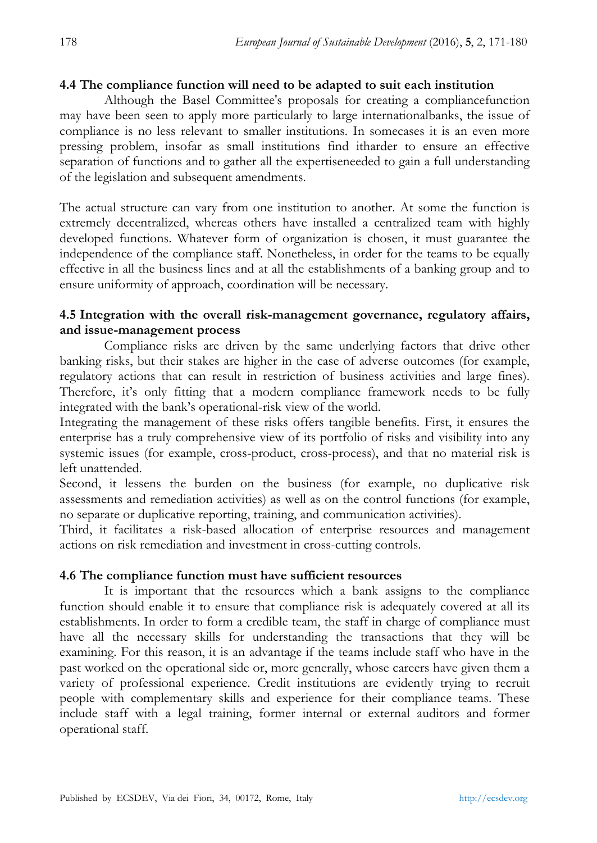#### **4.4 The compliance function will need to be adapted to suit each institution**

Although the Basel Committee's proposals for creating a compliancefunction may have been seen to apply more particularly to large internationalbanks, the issue of compliance is no less relevant to smaller institutions. In somecases it is an even more pressing problem, insofar as small institutions find itharder to ensure an effective separation of functions and to gather all the expertiseneeded to gain a full understanding of the legislation and subsequent amendments.

The actual structure can vary from one institution to another. At some the function is extremely decentralized, whereas others have installed a centralized team with highly developed functions. Whatever form of organization is chosen, it must guarantee the independence of the compliance staff. Nonetheless, in order for the teams to be equally effective in all the business lines and at all the establishments of a banking group and to ensure uniformity of approach, coordination will be necessary.

#### **4.5 Integration with the overall risk-management governance, regulatory affairs, and issue-management process**

Compliance risks are driven by the same underlying factors that drive other banking risks, but their stakes are higher in the case of adverse outcomes (for example, regulatory actions that can result in restriction of business activities and large fines). Therefore, it's only fitting that a modern compliance framework needs to be fully integrated with the bank's operational-risk view of the world.

Integrating the management of these risks offers tangible benefits. First, it ensures the enterprise has a truly comprehensive view of its portfolio of risks and visibility into any systemic issues (for example, cross-product, cross-process), and that no material risk is left unattended.

Second, it lessens the burden on the business (for example, no duplicative risk assessments and remediation activities) as well as on the control functions (for example, no separate or duplicative reporting, training, and communication activities).

Third, it facilitates a risk-based allocation of enterprise resources and management actions on risk remediation and investment in cross-cutting controls.

#### **4.6 The compliance function must have sufficient resources**

It is important that the resources which a bank assigns to the compliance function should enable it to ensure that compliance risk is adequately covered at all its establishments. In order to form a credible team, the staff in charge of compliance must have all the necessary skills for understanding the transactions that they will be examining. For this reason, it is an advantage if the teams include staff who have in the past worked on the operational side or, more generally, whose careers have given them a variety of professional experience. Credit institutions are evidently trying to recruit people with complementary skills and experience for their compliance teams. These include staff with a legal training, former internal or external auditors and former operational staff.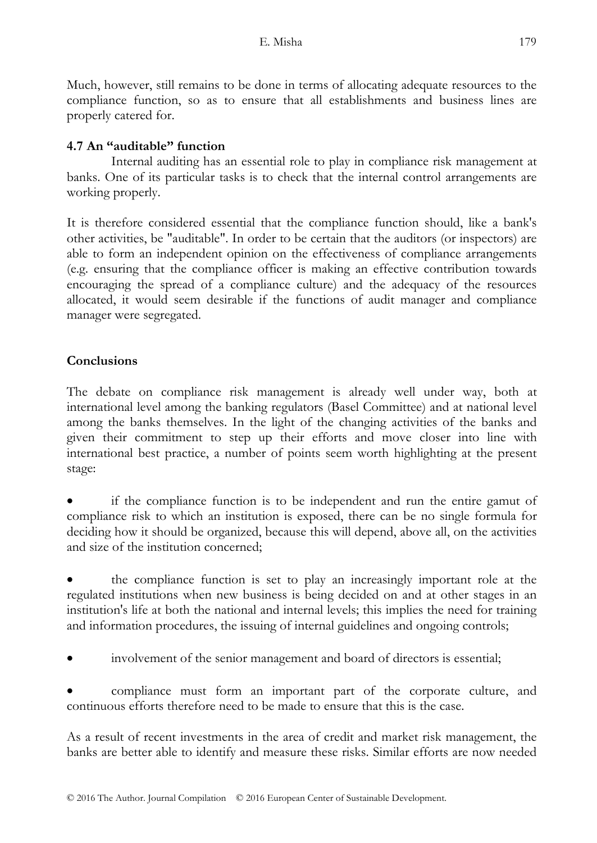Much, however, still remains to be done in terms of allocating adequate resources to the compliance function, so as to ensure that all establishments and business lines are properly catered for.

### **4.7 An "auditable" function**

Internal auditing has an essential role to play in compliance risk management at banks. One of its particular tasks is to check that the internal control arrangements are working properly.

It is therefore considered essential that the compliance function should, like a bank's other activities, be "auditable". In order to be certain that the auditors (or inspectors) are able to form an independent opinion on the effectiveness of compliance arrangements (e.g. ensuring that the compliance officer is making an effective contribution towards encouraging the spread of a compliance culture) and the adequacy of the resources allocated, it would seem desirable if the functions of audit manager and compliance manager were segregated.

### **Conclusions**

The debate on compliance risk management is already well under way, both at international level among the banking regulators (Basel Committee) and at national level among the banks themselves. In the light of the changing activities of the banks and given their commitment to step up their efforts and move closer into line with international best practice, a number of points seem worth highlighting at the present stage:

 if the compliance function is to be independent and run the entire gamut of compliance risk to which an institution is exposed, there can be no single formula for deciding how it should be organized, because this will depend, above all, on the activities and size of the institution concerned;

 the compliance function is set to play an increasingly important role at the regulated institutions when new business is being decided on and at other stages in an institution's life at both the national and internal levels; this implies the need for training and information procedures, the issuing of internal guidelines and ongoing controls;

involvement of the senior management and board of directors is essential;

 compliance must form an important part of the corporate culture, and continuous efforts therefore need to be made to ensure that this is the case.

As a result of recent investments in the area of credit and market risk management, the banks are better able to identify and measure these risks. Similar efforts are now needed